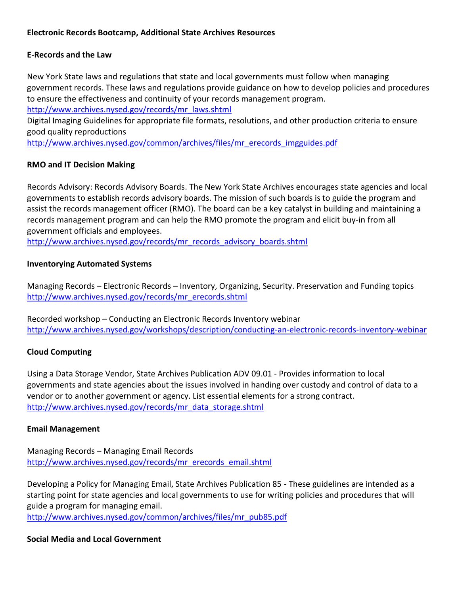### **Electronic Records Bootcamp, Additional State Archives Resources**

### **E-Records and the Law**

New York State laws and regulations that state and local governments must follow when managing government records. These laws and regulations provide guidance on how to develop policies and procedures to ensure the effectiveness and continuity of your records management program.

[http://www.archives.nysed.gov/records/mr\\_laws.shtml](http://www.archives.nysed.gov/records/mr_laws.shtml)

Digital Imaging Guidelines for appropriate file formats, resolutions, and other production criteria to ensure good quality reproductions

[http://www.archives.nysed.gov/common/archives/files/mr\\_erecords\\_imgguides.pdf](http://www.archives.nysed.gov/common/archives/files/mr_erecords_imgguides.pdf)

### **RMO and IT Decision Making**

Records Advisory: Records Advisory Boards. The New York State Archives encourages state agencies and local governments to establish records advisory boards. The mission of such boards is to guide the program and assist the records management officer (RMO). The board can be a key catalyst in building and maintaining a records management program and can help the RMO promote the program and elicit buy-in from all government officials and employees.

[http://www.archives.nysed.gov/records/mr\\_records\\_advisory\\_boards.shtml](http://www.archives.nysed.gov/records/mr_records_advisory_boards.shtml)

### **Inventorying Automated Systems**

Managing Records – Electronic Records – Inventory, Organizing, Security. Preservation and Funding topics [http://www.archives.nysed.gov/records/mr\\_erecords.shtml](http://www.archives.nysed.gov/records/mr_erecords.shtml)

Recorded workshop – Conducting an Electronic Records Inventory webinar <http://www.archives.nysed.gov/workshops/description/conducting-an-electronic-records-inventory-webinar>

# **Cloud Computing**

Using a Data Storage Vendor, State Archives Publication ADV 09.01 - Provides information to local governments and state agencies about the issues involved in handing over custody and control of data to a vendor or to another government or agency. List essential elements for a strong contract. [http://www.archives.nysed.gov/records/mr\\_data\\_storage.shtml](http://www.archives.nysed.gov/records/mr_data_storage.shtml)

### **Email Management**

Managing Records – Managing Email Records [http://www.archives.nysed.gov/records/mr\\_erecords\\_email.shtml](http://www.archives.nysed.gov/records/mr_erecords_email.shtml)

Developing a Policy for Managing Email, State Archives Publication 85 - These guidelines are intended as a starting point for state agencies and local governments to use for writing policies and procedures that will guide a program for managing email.

[http://www.archives.nysed.gov/common/archives/files/mr\\_pub85.pdf](http://www.archives.nysed.gov/common/archives/files/mr_pub85.pdf)

### **Social Media and Local Government**